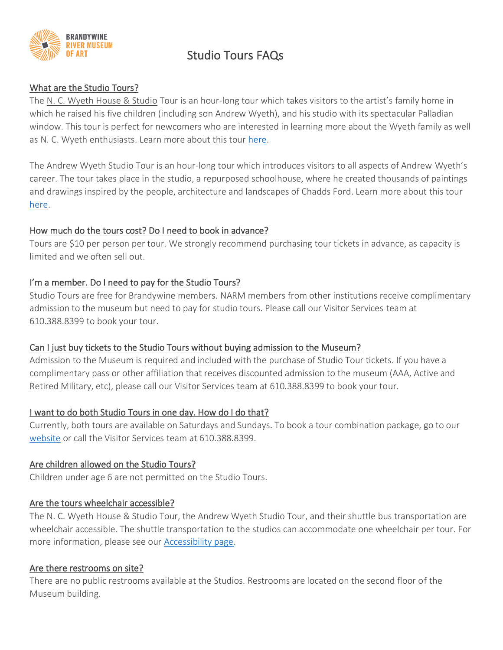

# Studio Tours FAQs

## What are the Studio Tours?

The N. C. Wyeth House & Studio Tour is an hour-long tour which takes visitors to the artist's family home in which he raised his five children (including son Andrew Wyeth), and his studio with its spectacular Palladian window. This tour is perfect for newcomers who are interested in learning more about the Wyeth family as well as N. C. Wyeth enthusiasts. Learn more about this tour [here.](https://www.brandywine.org/museum/historic-artists-studios/nc-wyeth-house-studio)

The Andrew Wyeth Studio Tour is an hour-long tour which introduces visitors to all aspects of Andrew Wyeth's career. The tour takes place in the studio, a repurposed schoolhouse, where he created thousands of paintings and drawings inspired by the people, architecture and landscapes of Chadds Ford. Learn more about this tour [here.](https://www.brandywine.org/museum/historic-artists-studios/andrew-wyeth-studio)

### How much do the tours cost? Do I need to book in advance?

Tours are \$10 per person per tour. We strongly recommend purchasing tour tickets in advance, as capacity is limited and we often sell out.

## I'm a member. Do I need to pay for the Studio Tours?

Studio Tours are free for Brandywine members. NARM members from other institutions receive complimentary admission to the museum but need to pay for studio tours. Please call our Visitor Services team at 610.388.8399 to book your tour.

## Can I just buy tickets to the Studio Tours without buying admission to the Museum?

Admission to the Museum is required and included with the purchase of Studio Tour tickets. If you have a complimentary pass or other affiliation that receives discounted admission to the museum (AAA, Active and Retired Military, etc), please call our Visitor Services team at 610.388.8399 to book your tour.

## I want to do both Studio Tours in one day. How do I do that?

Currently, both tours are available on Saturdays and Sundays. To book a tour combination package, go to our [website](https://335.blackbaudhosting.com/335/tickets?tab=4&txobjid=3c7d5e0c-1d69-4f62-9c73-cdac7264da24&_gl=1*fb51kg*_ga*MTQ3NDQyODYxMC4xNjMxNzM0Nzc2*_ga_EYSPK5RSWZ*MTY1MjI5NzAzMy43My4xLjE2NTIyOTg0NjEuMA..) or call the Visitor Services team at 610.388.8399.

#### Are children allowed on the Studio Tours?

Children under age 6 are not permitted on the Studio Tours.

#### Are the tours wheelchair accessible?

The N. C. Wyeth House & Studio Tour, the Andrew Wyeth Studio Tour, and their shuttle bus transportation are wheelchair accessible. The shuttle transportation to the studios can accommodate one wheelchair per tour. For more information, please see our [Accessibility page.](https://www.brandywine.org/museum/visit/accessibility)

#### Are there restrooms on site?

There are no public restrooms available at the Studios. Restrooms are located on the second floor of the Museum building.